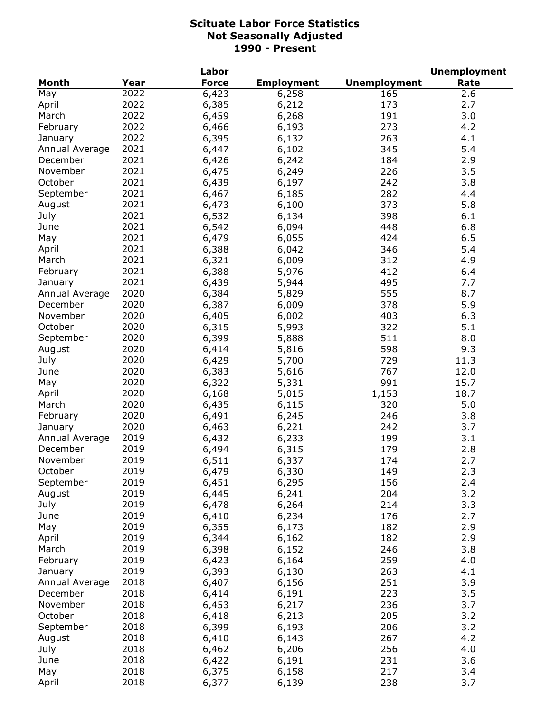|                |      | Labor        |                   |                     | <b>Unemployment</b> |
|----------------|------|--------------|-------------------|---------------------|---------------------|
| <b>Month</b>   | Year | <b>Force</b> | <b>Employment</b> | <b>Unemployment</b> | Rate                |
| May            | 2022 | 6,423        | 6,258             | 165                 | 2.6                 |
| April          | 2022 | 6,385        | 6,212             | 173                 | 2.7                 |
| March          | 2022 | 6,459        | 6,268             | 191                 | 3.0                 |
| February       | 2022 | 6,466        | 6,193             | 273                 | 4.2                 |
| January        | 2022 | 6,395        | 6,132             | 263                 | 4.1                 |
| Annual Average | 2021 | 6,447        | 6,102             | 345                 | 5.4                 |
| December       | 2021 | 6,426        | 6,242             | 184                 | 2.9                 |
| November       | 2021 | 6,475        | 6,249             | 226                 | 3.5                 |
| October        | 2021 | 6,439        | 6,197             | 242                 | 3.8                 |
| September      | 2021 | 6,467        | 6,185             | 282                 | 4.4                 |
| August         | 2021 | 6,473        | 6,100             | 373                 | 5.8                 |
| July           | 2021 | 6,532        | 6,134             | 398                 | 6.1                 |
| June           | 2021 | 6,542        | 6,094             | 448                 | 6.8                 |
|                | 2021 | 6,479        | 6,055             | 424                 | 6.5                 |
| May            | 2021 |              |                   |                     |                     |
| April          |      | 6,388        | 6,042             | 346                 | 5.4                 |
| March          | 2021 | 6,321        | 6,009             | 312                 | 4.9                 |
| February       | 2021 | 6,388        | 5,976             | 412                 | 6.4                 |
| January        | 2021 | 6,439        | 5,944             | 495                 | 7.7                 |
| Annual Average | 2020 | 6,384        | 5,829             | 555                 | 8.7                 |
| December       | 2020 | 6,387        | 6,009             | 378                 | 5.9                 |
| November       | 2020 | 6,405        | 6,002             | 403                 | 6.3                 |
| October        | 2020 | 6,315        | 5,993             | 322                 | 5.1                 |
| September      | 2020 | 6,399        | 5,888             | 511                 | 8.0                 |
| August         | 2020 | 6,414        | 5,816             | 598                 | 9.3                 |
| July           | 2020 | 6,429        | 5,700             | 729                 | 11.3                |
| June           | 2020 | 6,383        | 5,616             | 767                 | 12.0                |
| May            | 2020 | 6,322        | 5,331             | 991                 | 15.7                |
| April          | 2020 | 6,168        | 5,015             | 1,153               | 18.7                |
| March          | 2020 | 6,435        | 6,115             | 320                 | 5.0                 |
| February       | 2020 | 6,491        | 6,245             | 246                 | 3.8                 |
| January        | 2020 | 6,463        | 6,221             | 242                 | 3.7                 |
| Annual Average | 2019 | 6,432        | 6,233             | 199                 | 3.1                 |
| December       | 2019 | 6,494        | 6,315             | 179                 | 2.8                 |
| November       | 2019 | 6,511        | 6,337             | 174                 | 2.7                 |
| October        | 2019 | 6,479        | 6,330             | 149                 | 2.3                 |
| September      | 2019 | 6,451        | 6,295             | 156                 | 2.4                 |
| August         | 2019 | 6,445        | 6,241             | 204                 | 3.2                 |
| July           | 2019 | 6,478        | 6,264             | 214                 | 3.3                 |
| June           | 2019 | 6,410        | 6,234             | 176                 | 2.7                 |
| May            | 2019 | 6,355        | 6,173             | 182                 | 2.9                 |
| April          | 2019 | 6,344        | 6,162             | 182                 | 2.9                 |
| March          | 2019 | 6,398        | 6,152             | 246                 | 3.8                 |
| February       | 2019 | 6,423        | 6,164             | 259                 | 4.0                 |
| January        | 2019 | 6,393        | 6,130             | 263                 | 4.1                 |
| Annual Average | 2018 | 6,407        |                   | 251                 | 3.9                 |
| December       | 2018 |              | 6,156             | 223                 |                     |
|                |      | 6,414        | 6,191             |                     | 3.5                 |
| November       | 2018 | 6,453        | 6,217             | 236                 | 3.7                 |
| October        | 2018 | 6,418        | 6,213             | 205                 | 3.2                 |
| September      | 2018 | 6,399        | 6,193             | 206                 | 3.2                 |
| August         | 2018 | 6,410        | 6,143             | 267                 | 4.2                 |
| July           | 2018 | 6,462        | 6,206             | 256                 | 4.0                 |
| June           | 2018 | 6,422        | 6,191             | 231                 | 3.6                 |
| May            | 2018 | 6,375        | 6,158             | 217                 | 3.4                 |
| April          | 2018 | 6,377        | 6,139             | 238                 | 3.7                 |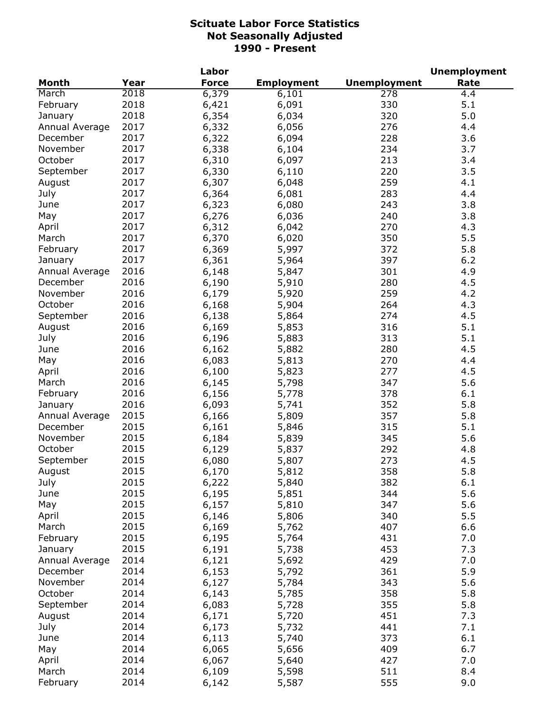|                |      | Labor        |                   |                     | <b>Unemployment</b> |
|----------------|------|--------------|-------------------|---------------------|---------------------|
| <b>Month</b>   | Year | <b>Force</b> | <b>Employment</b> | <b>Unemployment</b> | Rate                |
| March          | 2018 | 6,379        | 6,101             | 278                 | 4.4                 |
| February       | 2018 | 6,421        | 6,091             | 330                 | 5.1                 |
| January        | 2018 | 6,354        | 6,034             | 320                 | 5.0                 |
| Annual Average | 2017 | 6,332        | 6,056             | 276                 | 4.4                 |
| December       | 2017 | 6,322        | 6,094             | 228                 | 3.6                 |
| November       | 2017 | 6,338        | 6,104             | 234                 | 3.7                 |
| October        | 2017 | 6,310        | 6,097             | 213                 | 3.4                 |
| September      | 2017 | 6,330        | 6,110             | 220                 | 3.5                 |
| August         | 2017 | 6,307        | 6,048             | 259                 | 4.1                 |
| July           | 2017 | 6,364        | 6,081             | 283                 | 4.4                 |
| June           | 2017 | 6,323        | 6,080             | 243                 | 3.8                 |
| May            | 2017 | 6,276        | 6,036             | 240                 | 3.8                 |
| April          | 2017 | 6,312        | 6,042             | 270                 | 4.3                 |
|                | 2017 |              |                   | 350                 | 5.5                 |
| March          |      | 6,370        | 6,020             |                     |                     |
| February       | 2017 | 6,369        | 5,997             | 372                 | 5.8                 |
| January        | 2017 | 6,361        | 5,964             | 397                 | 6.2                 |
| Annual Average | 2016 | 6,148        | 5,847             | 301                 | 4.9                 |
| December       | 2016 | 6,190        | 5,910             | 280                 | 4.5                 |
| November       | 2016 | 6,179        | 5,920             | 259                 | 4.2                 |
| October        | 2016 | 6,168        | 5,904             | 264                 | 4.3                 |
| September      | 2016 | 6,138        | 5,864             | 274                 | 4.5                 |
| August         | 2016 | 6,169        | 5,853             | 316                 | 5.1                 |
| July           | 2016 | 6,196        | 5,883             | 313                 | 5.1                 |
| June           | 2016 | 6,162        | 5,882             | 280                 | 4.5                 |
| May            | 2016 | 6,083        | 5,813             | 270                 | 4.4                 |
| April          | 2016 | 6,100        | 5,823             | 277                 | 4.5                 |
| March          | 2016 | 6,145        | 5,798             | 347                 | 5.6                 |
| February       | 2016 | 6,156        | 5,778             | 378                 | 6.1                 |
| January        | 2016 | 6,093        | 5,741             | 352                 | 5.8                 |
| Annual Average | 2015 | 6,166        | 5,809             | 357                 | 5.8                 |
| December       | 2015 | 6,161        | 5,846             | 315                 | 5.1                 |
| November       | 2015 | 6,184        | 5,839             | 345                 | 5.6                 |
| October        | 2015 | 6,129        | 5,837             | 292                 | 4.8                 |
| September      | 2015 | 6,080        | 5,807             | 273                 | 4.5                 |
| August         | 2015 | 6,170        | 5,812             | 358                 | 5.8                 |
| July           | 2015 | 6,222        | 5,840             | 382                 | 6.1                 |
| June           | 2015 | 6,195        | 5,851             | 344                 | 5.6                 |
| May            | 2015 | 6,157        | 5,810             | 347                 | 5.6                 |
| April          | 2015 | 6,146        | 5,806             | 340                 | 5.5                 |
| March          | 2015 | 6,169        | 5,762             | 407                 | 6.6                 |
| February       | 2015 | 6,195        | 5,764             | 431                 | 7.0                 |
| January        | 2015 | 6,191        | 5,738             | 453                 | 7.3                 |
| Annual Average | 2014 | 6,121        | 5,692             | 429                 | 7.0                 |
| December       | 2014 |              |                   |                     | 5.9                 |
|                |      | 6,153        | 5,792             | 361                 |                     |
| November       | 2014 | 6,127        | 5,784             | 343                 | 5.6                 |
| October        | 2014 | 6,143        | 5,785             | 358                 | 5.8                 |
| September      | 2014 | 6,083        | 5,728             | 355                 | 5.8                 |
| August         | 2014 | 6,171        | 5,720             | 451                 | 7.3                 |
| July           | 2014 | 6,173        | 5,732             | 441                 | 7.1                 |
| June           | 2014 | 6,113        | 5,740             | 373                 | 6.1                 |
| May            | 2014 | 6,065        | 5,656             | 409                 | 6.7                 |
| April          | 2014 | 6,067        | 5,640             | 427                 | 7.0                 |
| March          | 2014 | 6,109        | 5,598             | 511                 | 8.4                 |
| February       | 2014 | 6,142        | 5,587             | 555                 | 9.0                 |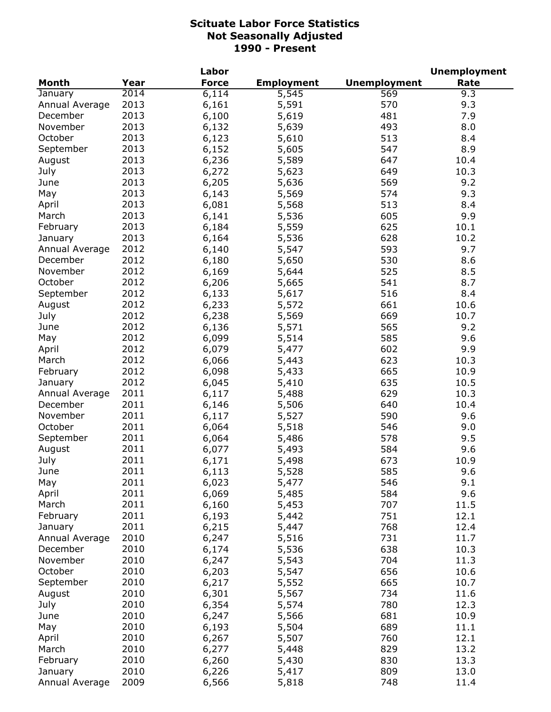|                |      | Labor        |                   |                     | <b>Unemployment</b> |
|----------------|------|--------------|-------------------|---------------------|---------------------|
| <b>Month</b>   | Year | <b>Force</b> | <b>Employment</b> | <b>Unemployment</b> | Rate                |
| January        | 2014 | 6,114        | 5,545             | 569                 | 9.3                 |
| Annual Average | 2013 | 6,161        | 5,591             | 570                 | 9.3                 |
| December       | 2013 | 6,100        | 5,619             | 481                 | 7.9                 |
| November       | 2013 | 6,132        | 5,639             | 493                 | 8.0                 |
| October        | 2013 | 6,123        | 5,610             | 513                 | 8.4                 |
| September      | 2013 | 6,152        | 5,605             | 547                 | 8.9                 |
| August         | 2013 | 6,236        | 5,589             | 647                 | 10.4                |
| July           | 2013 | 6,272        | 5,623             | 649                 | 10.3                |
| June           | 2013 | 6,205        | 5,636             | 569                 | 9.2                 |
| May            | 2013 | 6,143        | 5,569             | 574                 | 9.3                 |
| April          | 2013 | 6,081        | 5,568             | 513                 | 8.4                 |
| March          | 2013 | 6,141        | 5,536             | 605                 | 9.9                 |
| February       | 2013 | 6,184        | 5,559             | 625                 | 10.1                |
| January        | 2013 | 6,164        | 5,536             | 628                 | 10.2                |
| Annual Average | 2012 | 6,140        | 5,547             | 593                 | 9.7                 |
| December       | 2012 | 6,180        | 5,650             | 530                 | 8.6                 |
| November       | 2012 | 6,169        | 5,644             | 525                 | 8.5                 |
| October        | 2012 | 6,206        | 5,665             | 541                 | 8.7                 |
| September      | 2012 | 6,133        | 5,617             | 516                 | 8.4                 |
| August         | 2012 | 6,233        | 5,572             | 661                 | 10.6                |
| July           | 2012 | 6,238        | 5,569             | 669                 | 10.7                |
| June           | 2012 | 6,136        | 5,571             | 565                 | 9.2                 |
| May            | 2012 | 6,099        | 5,514             | 585                 | 9.6                 |
| April          | 2012 | 6,079        | 5,477             | 602                 | 9.9                 |
| March          | 2012 | 6,066        | 5,443             | 623                 | 10.3                |
| February       | 2012 | 6,098        | 5,433             | 665                 | 10.9                |
| January        | 2012 | 6,045        | 5,410             | 635                 | 10.5                |
| Annual Average | 2011 | 6,117        | 5,488             | 629                 | 10.3                |
| December       | 2011 | 6,146        | 5,506             | 640                 | 10.4                |
| November       | 2011 | 6,117        | 5,527             | 590                 | 9.6                 |
| October        | 2011 | 6,064        | 5,518             | 546                 | 9.0                 |
| September      | 2011 | 6,064        | 5,486             | 578                 | 9.5                 |
| August         | 2011 | 6,077        | 5,493             | 584                 | 9.6                 |
| July           | 2011 | 6,171        | 5,498             | 673                 | 10.9                |
| June           | 2011 | 6,113        | 5,528             | 585                 | 9.6                 |
| May            | 2011 | 6,023        | 5,477             | 546                 | 9.1                 |
| April          | 2011 | 6,069        | 5,485             | 584                 | 9.6                 |
| March          | 2011 | 6,160        | 5,453             | 707                 | 11.5                |
| February       | 2011 | 6,193        | 5,442             | 751                 | 12.1                |
| January        | 2011 | 6,215        | 5,447             | 768                 | 12.4                |
| Annual Average | 2010 | 6,247        | 5,516             | 731                 | 11.7                |
| December       | 2010 | 6,174        | 5,536             | 638                 | 10.3                |
| November       | 2010 | 6,247        | 5,543             | 704                 | 11.3                |
| October        | 2010 | 6,203        | 5,547             | 656                 | 10.6                |
| September      | 2010 | 6,217        | 5,552             | 665                 | 10.7                |
| August         | 2010 | 6,301        | 5,567             | 734                 | 11.6                |
| July           | 2010 | 6,354        | 5,574             | 780                 | 12.3                |
| June           | 2010 | 6,247        | 5,566             | 681                 | 10.9                |
| May            | 2010 | 6,193        | 5,504             | 689                 | 11.1                |
| April          | 2010 | 6,267        | 5,507             | 760                 | 12.1                |
| March          | 2010 | 6,277        | 5,448             | 829                 | 13.2                |
| February       | 2010 | 6,260        | 5,430             | 830                 | 13.3                |
| January        | 2010 | 6,226        | 5,417             | 809                 | 13.0                |
| Annual Average | 2009 | 6,566        | 5,818             | 748                 | 11.4                |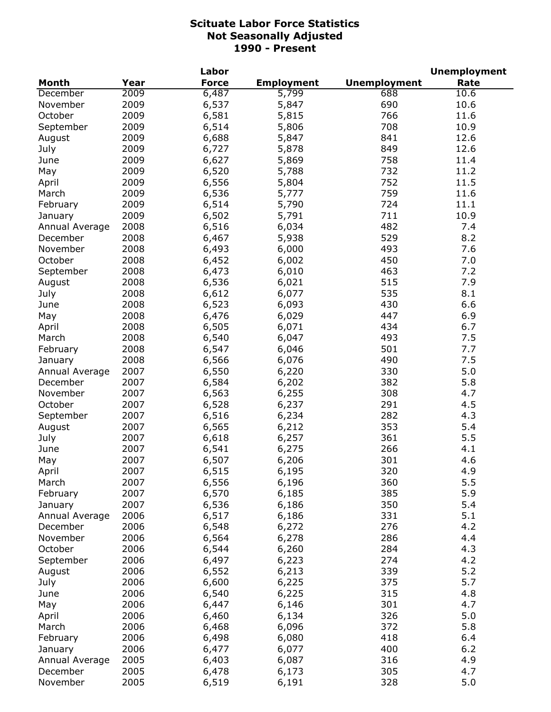|                |              | Labor        |                   |                     | <b>Unemployment</b> |
|----------------|--------------|--------------|-------------------|---------------------|---------------------|
| <b>Month</b>   | Year         | <b>Force</b> | <b>Employment</b> | <b>Unemployment</b> | Rate                |
| December       | 2009         | 6,487        | 5,799             | 688                 | 10.6                |
| November       | 2009         | 6,537        | 5,847             | 690                 | 10.6                |
| October        | 2009         | 6,581        | 5,815             | 766                 | 11.6                |
| September      | 2009         | 6,514        | 5,806             | 708                 | 10.9                |
| August         | 2009         | 6,688        | 5,847             | 841                 | 12.6                |
| July           | 2009         | 6,727        | 5,878             | 849                 | 12.6                |
| June           | 2009         | 6,627        | 5,869             | 758                 | 11.4                |
| May            | 2009         | 6,520        | 5,788             | 732                 | 11.2                |
| April          | 2009         | 6,556        | 5,804             | 752                 | 11.5                |
| March          | 2009         | 6,536        | 5,777             | 759                 | 11.6                |
| February       | 2009         | 6,514        | 5,790             | 724                 | 11.1                |
| January        | 2009         | 6,502        | 5,791             | 711                 | 10.9                |
| Annual Average | 2008         | 6,516        | 6,034             | 482                 | 7.4                 |
| December       | 2008         | 6,467        | 5,938             | 529                 | 8.2                 |
| November       | 2008         | 6,493        | 6,000             | 493                 | 7.6                 |
| October        | 2008         | 6,452        | 6,002             | 450                 | 7.0                 |
| September      | 2008         | 6,473        | 6,010             | 463                 | 7.2                 |
| August         | 2008         | 6,536        | 6,021             | 515                 | 7.9                 |
| July           | 2008         | 6,612        | 6,077             | 535                 | 8.1                 |
| June           | 2008         | 6,523        | 6,093             | 430                 | 6.6                 |
| May            | 2008         | 6,476        | 6,029             | 447                 | 6.9                 |
| April          | 2008         | 6,505        | 6,071             | 434                 | 6.7                 |
| March          | 2008         | 6,540        | 6,047             | 493                 | 7.5                 |
| February       | 2008         | 6,547        | 6,046             | 501                 | 7.7                 |
| January        | 2008         | 6,566        | 6,076             | 490                 | 7.5                 |
| Annual Average | 2007         | 6,550        | 6,220             | 330                 | 5.0                 |
| December       | 2007         | 6,584        | 6,202             | 382                 | 5.8                 |
| November       | 2007         | 6,563        | 6,255             | 308                 | 4.7                 |
| October        | 2007         | 6,528        | 6,237             | 291                 | 4.5                 |
| September      | 2007         | 6,516        | 6,234             | 282                 | 4.3                 |
| August         | 2007         | 6,565        | 6,212             | 353                 | 5.4                 |
| July           | 2007         | 6,618        | 6,257             | 361                 | 5.5                 |
| June           | 2007         | 6,541        | 6,275             | 266                 | 4.1                 |
| May            | 2007         | 6,507        | 6,206             | 301                 | 4.6                 |
| April          | 2007         | 6,515        | 6,195             | 320                 | 4.9                 |
| March          | 2007         | 6,556        | 6,196             | 360                 | 5.5                 |
| February       | 2007         | 6,570        | 6,185             | 385                 | 5.9                 |
| January        | 2007         | 6,536        | 6,186             | 350                 | 5.4                 |
| Annual Average | 2006         | 6,517        | 6,186             | 331                 | 5.1                 |
| December       | 2006         | 6,548        | 6,272             | 276                 | 4.2                 |
| November       | 2006         | 6,564        | 6,278             | 286                 | 4.4                 |
| October        | 2006         | 6,544        | 6,260             | 284                 | 4.3                 |
| September      | 2006         | 6,497        | 6,223             | 274                 | 4.2                 |
| August         | 2006         | 6,552        | 6,213             | 339                 | 5.2                 |
| July           | 2006         | 6,600        | 6,225             | 375                 | 5.7                 |
| June           | 2006         | 6,540        | 6,225             | 315                 | 4.8                 |
|                | 2006         | 6,447        |                   | 301                 | 4.7                 |
| May            |              |              | 6,146             |                     |                     |
| April          | 2006         | 6,460        | 6,134             | 326                 | 5.0<br>5.8          |
| March          | 2006         | 6,468        | 6,096             | 372<br>418          |                     |
| February       | 2006<br>2006 | 6,498        | 6,080             | 400                 | 6.4<br>6.2          |
| January        |              | 6,477        | 6,077             | 316                 | 4.9                 |
| Annual Average | 2005<br>2005 | 6,403        | 6,087             | 305                 | 4.7                 |
| December       |              | 6,478        | 6,173             |                     |                     |
| November       | 2005         | 6,519        | 6,191             | 328                 | 5.0                 |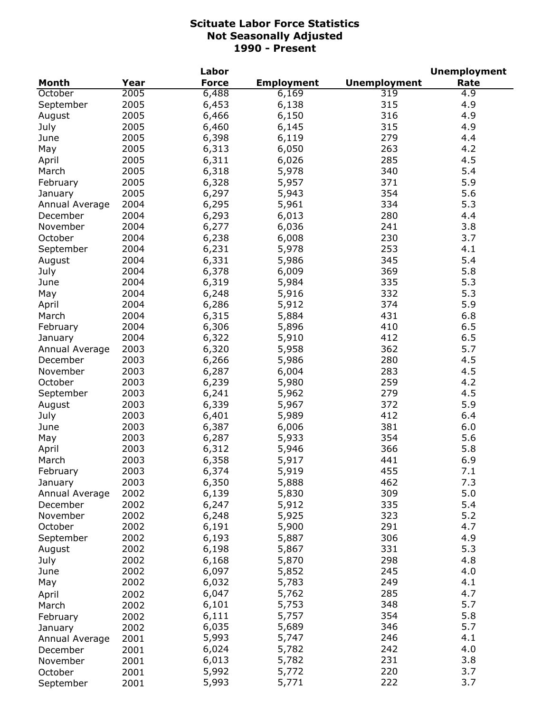|                |      | Labor        |                   |                     | <b>Unemployment</b> |
|----------------|------|--------------|-------------------|---------------------|---------------------|
| <b>Month</b>   | Year | <b>Force</b> | <b>Employment</b> | <b>Unemployment</b> | Rate                |
| October        | 2005 | 6,488        | 6,169             | 319                 | 4.9                 |
| September      | 2005 | 6,453        | 6,138             | 315                 | 4.9                 |
| August         | 2005 | 6,466        | 6,150             | 316                 | 4.9                 |
| July           | 2005 | 6,460        | 6,145             | 315                 | 4.9                 |
| June           | 2005 | 6,398        | 6,119             | 279                 | 4.4                 |
| May            | 2005 | 6,313        | 6,050             | 263                 | 4.2                 |
| April          | 2005 | 6,311        | 6,026             | 285                 | 4.5                 |
| March          | 2005 | 6,318        | 5,978             | 340                 | 5.4                 |
| February       | 2005 | 6,328        | 5,957             | 371                 | 5.9                 |
| January        | 2005 | 6,297        | 5,943             | 354                 | 5.6                 |
| Annual Average | 2004 | 6,295        | 5,961             | 334                 | 5.3                 |
| December       | 2004 | 6,293        | 6,013             | 280                 | 4.4                 |
| November       | 2004 | 6,277        | 6,036             | 241                 | 3.8                 |
| October        | 2004 | 6,238        | 6,008             | 230                 | 3.7                 |
| September      | 2004 | 6,231        | 5,978             | 253                 | 4.1                 |
|                | 2004 | 6,331        | 5,986             | 345                 | 5.4                 |
| August         | 2004 |              |                   | 369                 | 5.8                 |
| July           |      | 6,378        | 6,009             |                     | 5.3                 |
| June           | 2004 | 6,319        | 5,984             | 335                 |                     |
| May            | 2004 | 6,248        | 5,916             | 332                 | 5.3                 |
| April          | 2004 | 6,286        | 5,912             | 374                 | 5.9                 |
| March          | 2004 | 6,315        | 5,884             | 431                 | 6.8                 |
| February       | 2004 | 6,306        | 5,896             | 410                 | 6.5                 |
| January        | 2004 | 6,322        | 5,910             | 412                 | 6.5                 |
| Annual Average | 2003 | 6,320        | 5,958             | 362                 | 5.7                 |
| December       | 2003 | 6,266        | 5,986             | 280                 | 4.5                 |
| November       | 2003 | 6,287        | 6,004             | 283                 | 4.5                 |
| October        | 2003 | 6,239        | 5,980             | 259                 | 4.2                 |
| September      | 2003 | 6,241        | 5,962             | 279                 | 4.5                 |
| August         | 2003 | 6,339        | 5,967             | 372                 | 5.9                 |
| July           | 2003 | 6,401        | 5,989             | 412                 | 6.4                 |
| June           | 2003 | 6,387        | 6,006             | 381                 | 6.0                 |
| May            | 2003 | 6,287        | 5,933             | 354                 | 5.6                 |
| April          | 2003 | 6,312        | 5,946             | 366                 | 5.8                 |
| March          | 2003 | 6,358        | 5,917             | 441                 | 6.9                 |
| February       | 2003 | 6,374        | 5,919             | 455                 | 7.1                 |
| January        | 2003 | 6,350        | 5,888             | 462                 | 7.3                 |
| Annual Average | 2002 | 6,139        | 5,830             | 309                 | 5.0                 |
| December       | 2002 | 6,247        | 5,912             | 335                 | 5.4                 |
| November       | 2002 | 6,248        | 5,925             | 323                 | 5.2                 |
| October        | 2002 | 6,191        | 5,900             | 291                 | 4.7                 |
| September      | 2002 | 6,193        | 5,887             | 306                 | 4.9                 |
| August         | 2002 | 6,198        | 5,867             | 331                 | 5.3                 |
| July           | 2002 | 6,168        | 5,870             | 298                 | 4.8                 |
| June           | 2002 | 6,097        | 5,852             | 245                 | 4.0                 |
| May            | 2002 | 6,032        | 5,783             | 249                 | 4.1                 |
| April          | 2002 | 6,047        | 5,762             | 285                 | 4.7                 |
| March          | 2002 | 6,101        | 5,753             | 348                 | 5.7                 |
| February       | 2002 | 6,111        | 5,757             | 354                 | 5.8                 |
| January        | 2002 | 6,035        | 5,689             | 346                 | 5.7                 |
| Annual Average | 2001 | 5,993        | 5,747             | 246                 | 4.1                 |
| December       | 2001 | 6,024        | 5,782             | 242                 | 4.0                 |
| November       | 2001 | 6,013        | 5,782             | 231                 | 3.8                 |
| October        | 2001 | 5,992        | 5,772             | 220                 | 3.7                 |
|                |      | 5,993        | 5,771             | 222                 | 3.7                 |
| September      | 2001 |              |                   |                     |                     |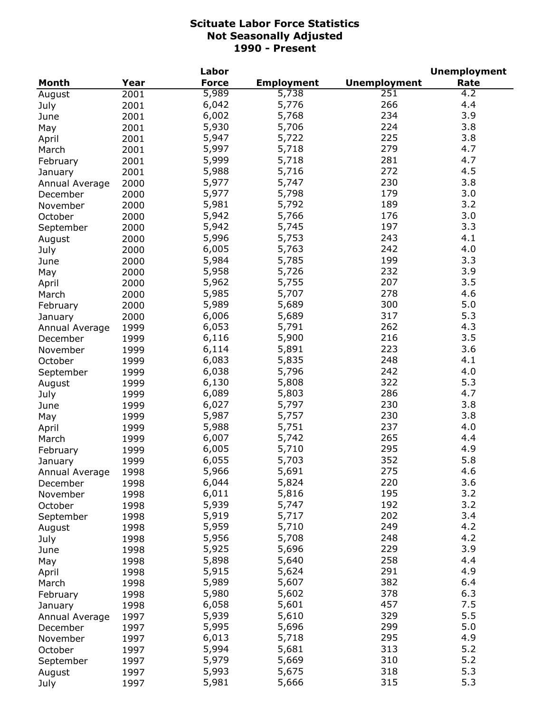|                            |      | Labor        |                   |                     | <b>Unemployment</b> |
|----------------------------|------|--------------|-------------------|---------------------|---------------------|
| <b>Month</b>               | Year | <b>Force</b> | <b>Employment</b> | <b>Unemployment</b> | Rate                |
| August                     | 2001 | 5,989        | 5,738             | 251                 | 4.2                 |
| July                       | 2001 | 6,042        | 5,776             | 266                 | 4.4                 |
| June                       | 2001 | 6,002        | 5,768             | 234                 | 3.9                 |
| May                        | 2001 | 5,930        | 5,706             | 224                 | 3.8                 |
| April                      | 2001 | 5,947        | 5,722             | 225                 | 3.8                 |
| March                      | 2001 | 5,997        | 5,718             | 279                 | 4.7                 |
| February                   | 2001 | 5,999        | 5,718             | 281                 | 4.7                 |
| January                    | 2001 | 5,988        | 5,716             | 272                 | 4.5                 |
| Annual Average             | 2000 | 5,977        | 5,747             | 230                 | 3.8                 |
| December                   | 2000 | 5,977        | 5,798             | 179                 | 3.0                 |
| November                   | 2000 | 5,981        | 5,792             | 189                 | 3.2                 |
| October                    | 2000 | 5,942        | 5,766             | 176                 | 3.0                 |
| September                  | 2000 | 5,942        | 5,745             | 197                 | 3.3                 |
| August                     | 2000 | 5,996        | 5,753             | 243                 | 4.1                 |
| July                       | 2000 | 6,005        | 5,763             | 242                 | 4.0                 |
| June                       | 2000 | 5,984        | 5,785             | 199                 | 3.3                 |
| May                        | 2000 | 5,958        | 5,726             | 232                 | 3.9                 |
| April                      | 2000 | 5,962        | 5,755             | 207                 | 3.5                 |
| March                      | 2000 | 5,985        | 5,707             | 278                 | 4.6                 |
| February                   | 2000 | 5,989        | 5,689             | 300                 | 5.0                 |
|                            | 2000 | 6,006        | 5,689             | 317                 | 5.3                 |
| January                    | 1999 | 6,053        | 5,791             | 262                 | 4.3                 |
| Annual Average<br>December | 1999 | 6,116        | 5,900             | 216                 | 3.5                 |
| November                   | 1999 | 6,114        | 5,891             | 223                 | 3.6                 |
| October                    | 1999 | 6,083        | 5,835             | 248                 | 4.1                 |
| September                  | 1999 | 6,038        | 5,796             | 242                 | 4.0                 |
| August                     | 1999 | 6,130        | 5,808             | 322                 | 5.3                 |
| July                       | 1999 | 6,089        | 5,803             | 286                 | 4.7                 |
| June                       | 1999 | 6,027        | 5,797             | 230                 | 3.8                 |
| May                        | 1999 | 5,987        | 5,757             | 230                 | 3.8                 |
| April                      | 1999 | 5,988        | 5,751             | 237                 | 4.0                 |
| March                      | 1999 | 6,007        | 5,742             | 265                 | 4.4                 |
| February                   | 1999 | 6,005        | 5,710             | 295                 | 4.9                 |
| January                    | 1999 | 6,055        | 5,703             | 352                 | 5.8                 |
| Annual Average             | 1998 | 5,966        | 5,691             | 275                 | 4.6                 |
| December                   | 1998 | 6,044        | 5,824             | 220                 | 3.6                 |
| November                   | 1998 | 6,011        | 5,816             | 195                 | 3.2                 |
| October                    | 1998 | 5,939        | 5,747             | 192                 | 3.2                 |
| September                  | 1998 | 5,919        | 5,717             | 202                 | 3.4                 |
| August                     | 1998 | 5,959        | 5,710             | 249                 | 4.2                 |
| July                       | 1998 | 5,956        | 5,708             | 248                 | 4.2                 |
| June                       | 1998 | 5,925        | 5,696             | 229                 | 3.9                 |
| May                        | 1998 | 5,898        | 5,640             | 258                 | 4.4                 |
| April                      | 1998 | 5,915        | 5,624             | 291                 | 4.9                 |
| March                      | 1998 | 5,989        | 5,607             | 382                 | 6.4                 |
| February                   | 1998 | 5,980        | 5,602             | 378                 | 6.3                 |
| January                    | 1998 | 6,058        | 5,601             | 457                 | 7.5                 |
| Annual Average             | 1997 | 5,939        | 5,610             | 329                 | 5.5                 |
| December                   | 1997 | 5,995        | 5,696             | 299                 | 5.0                 |
| November                   | 1997 | 6,013        | 5,718             | 295                 | 4.9                 |
| October                    | 1997 | 5,994        | 5,681             | 313                 | 5.2                 |
| September                  | 1997 | 5,979        | 5,669             | 310                 | 5.2                 |
| August                     | 1997 | 5,993        | 5,675             | 318                 | 5.3                 |
| July                       | 1997 | 5,981        | 5,666             | 315                 | 5.3                 |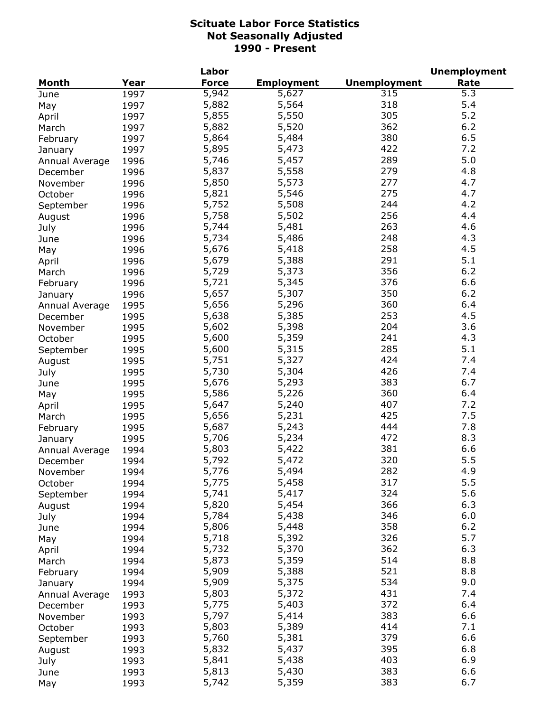|                |      | Labor          |                   | <b>Unemployment</b> |      |  |
|----------------|------|----------------|-------------------|---------------------|------|--|
| Month          | Year | <b>Force</b>   | <b>Employment</b> | <b>Unemployment</b> | Rate |  |
| June           | 1997 | 5,942          | 5,627             | 315                 | 5.3  |  |
| May            | 1997 | 5,882          | 5,564             | 318                 | 5.4  |  |
| April          | 1997 | 5,855          | 5,550             | 305                 | 5.2  |  |
| March          | 1997 | 5,882          | 5,520             | 362                 | 6.2  |  |
| February       | 1997 | 5,864          | 5,484             | 380                 | 6.5  |  |
| January        | 1997 | 5,895          | 5,473             | 422                 | 7.2  |  |
| Annual Average | 1996 | 5,746          | 5,457             | 289                 | 5.0  |  |
| December       | 1996 | 5,837          | 5,558             | 279                 | 4.8  |  |
| November       | 1996 | 5,850          | 5,573             | 277                 | 4.7  |  |
| October        | 1996 | 5,821          | 5,546             | 275                 | 4.7  |  |
| September      | 1996 | 5,752          | 5,508             | 244                 | 4.2  |  |
| August         | 1996 | 5,758          | 5,502             | 256                 | 4.4  |  |
| July           | 1996 | 5,744          | 5,481             | 263                 | 4.6  |  |
|                |      | 5,734          | 5,486             | 248                 | 4.3  |  |
| June           | 1996 | 5,676          | 5,418             | 258                 | 4.5  |  |
| May            | 1996 |                | 5,388             | 291                 | 5.1  |  |
| April          | 1996 | 5,679<br>5,729 |                   | 356                 | 6.2  |  |
| March          | 1996 |                | 5,373             |                     |      |  |
| February       | 1996 | 5,721          | 5,345             | 376                 | 6.6  |  |
| January        | 1996 | 5,657          | 5,307             | 350                 | 6.2  |  |
| Annual Average | 1995 | 5,656          | 5,296             | 360                 | 6.4  |  |
| December       | 1995 | 5,638          | 5,385             | 253                 | 4.5  |  |
| November       | 1995 | 5,602          | 5,398             | 204                 | 3.6  |  |
| October        | 1995 | 5,600          | 5,359             | 241                 | 4.3  |  |
| September      | 1995 | 5,600          | 5,315             | 285                 | 5.1  |  |
| August         | 1995 | 5,751          | 5,327             | 424                 | 7.4  |  |
| July           | 1995 | 5,730          | 5,304             | 426                 | 7.4  |  |
| June           | 1995 | 5,676          | 5,293             | 383                 | 6.7  |  |
| May            | 1995 | 5,586          | 5,226             | 360                 | 6.4  |  |
| April          | 1995 | 5,647          | 5,240             | 407                 | 7.2  |  |
| March          | 1995 | 5,656          | 5,231             | 425                 | 7.5  |  |
| February       | 1995 | 5,687          | 5,243             | 444                 | 7.8  |  |
| January        | 1995 | 5,706          | 5,234             | 472                 | 8.3  |  |
| Annual Average | 1994 | 5,803          | 5,422             | 381                 | 6.6  |  |
| December       | 1994 | 5,792          | 5,472             | 320                 | 5.5  |  |
| November       | 1994 | 5,776          | 5,494             | 282                 | 4.9  |  |
| October        | 1994 | 5,775          | 5,458             | 317                 | 5.5  |  |
| September      | 1994 | 5,741          | 5,417             | 324                 | 5.6  |  |
| August         | 1994 | 5,820          | 5,454             | 366                 | 6.3  |  |
| July           | 1994 | 5,784          | 5,438             | 346                 | 6.0  |  |
| June           | 1994 | 5,806          | 5,448             | 358                 | 6.2  |  |
| May            | 1994 | 5,718          | 5,392             | 326                 | 5.7  |  |
| April          | 1994 | 5,732          | 5,370             | 362                 | 6.3  |  |
| March          | 1994 | 5,873          | 5,359             | 514                 | 8.8  |  |
| February       | 1994 | 5,909          | 5,388             | 521                 | 8.8  |  |
| January        | 1994 | 5,909          | 5,375             | 534                 | 9.0  |  |
| Annual Average | 1993 | 5,803          | 5,372             | 431                 | 7.4  |  |
| December       | 1993 | 5,775          | 5,403             | 372                 | 6.4  |  |
| November       | 1993 | 5,797          | 5,414             | 383                 | 6.6  |  |
| October        | 1993 | 5,803          | 5,389             | 414                 | 7.1  |  |
|                |      | 5,760          | 5,381             | 379                 | 6.6  |  |
| September      | 1993 | 5,832          | 5,437             | 395                 | 6.8  |  |
| August         | 1993 | 5,841          |                   | 403                 | 6.9  |  |
| July           | 1993 |                | 5,438             | 383                 | 6.6  |  |
| June           | 1993 | 5,813          | 5,430             |                     |      |  |
| May            | 1993 | 5,742          | 5,359             | 383                 | 6.7  |  |